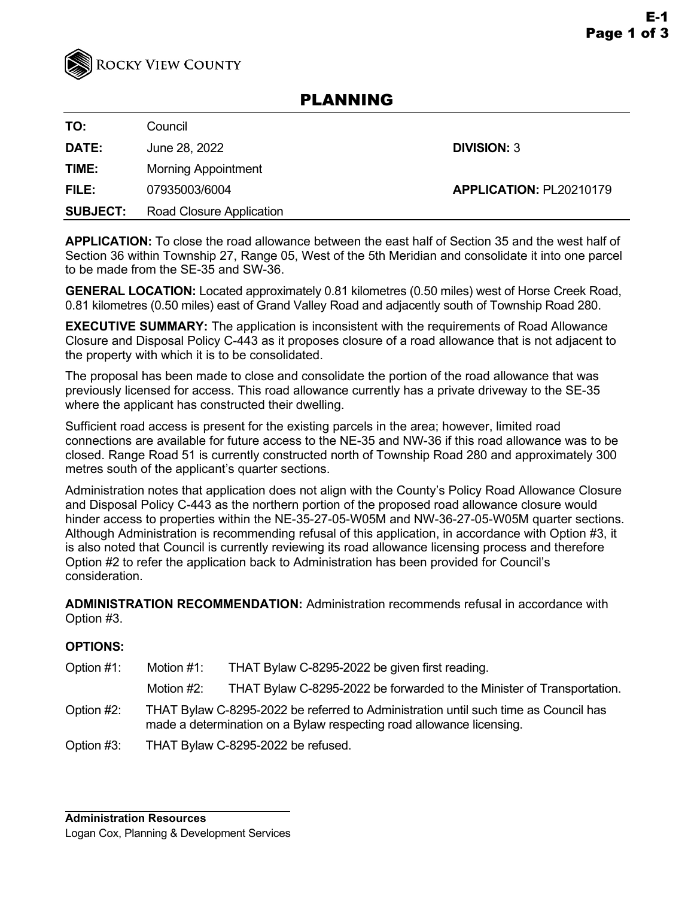

# PLANNING

**TO:** Council

**DATE:** June 28, 2022 **DIVISION:** 3

**TIME:** Morning Appointment

**FILE:** 07935003/6004 **APPLICATION:** PL20210179

**SUBJECT:** Road Closure Application

**APPLICATION:** To close the road allowance between the east half of Section 35 and the west half of Section 36 within Township 27, Range 05, West of the 5th Meridian and consolidate it into one parcel to be made from the SE-35 and SW-36.

**GENERAL LOCATION:** Located approximately 0.81 kilometres (0.50 miles) west of Horse Creek Road, 0.81 kilometres (0.50 miles) east of Grand Valley Road and adjacently south of Township Road 280.

**EXECUTIVE SUMMARY:** The application is inconsistent with the requirements of Road Allowance Closure and Disposal Policy C-443 as it proposes closure of a road allowance that is not adjacent to the property with which it is to be consolidated.

The proposal has been made to close and consolidate the portion of the road allowance that was previously licensed for access. This road allowance currently has a private driveway to the SE-35 where the applicant has constructed their dwelling.

Sufficient road access is present for the existing parcels in the area; however, limited road connections are available for future access to the NE-35 and NW-36 if this road allowance was to be closed. Range Road 51 is currently constructed north of Township Road 280 and approximately 300 metres south of the applicant's quarter sections.

Administration notes that application does not align with the County's Policy Road Allowance Closure and Disposal Policy C-443 as the northern portion of the proposed road allowance closure would hinder access to properties within the NE-35-27-05-W05M and NW-36-27-05-W05M quarter sections. Although Administration is recommending refusal of this application, in accordance with Option #3, it is also noted that Council is currently reviewing its road allowance licensing process and therefore Option #2 to refer the application back to Administration has been provided for Council's consideration.

**ADMINISTRATION RECOMMENDATION:** Administration recommends refusal in accordance with Option #3.

# **OPTIONS:**

Option #1: Motion #1: THAT Bylaw C-8295-2022 be given first reading. Motion #2: THAT Bylaw C-8295-2022 be forwarded to the Minister of Transportation. Option #2: THAT Bylaw C-8295-2022 be referred to Administration until such time as Council has made a determination on a Bylaw respecting road allowance licensing. Option #3: THAT Bylaw C-8295-2022 be refused.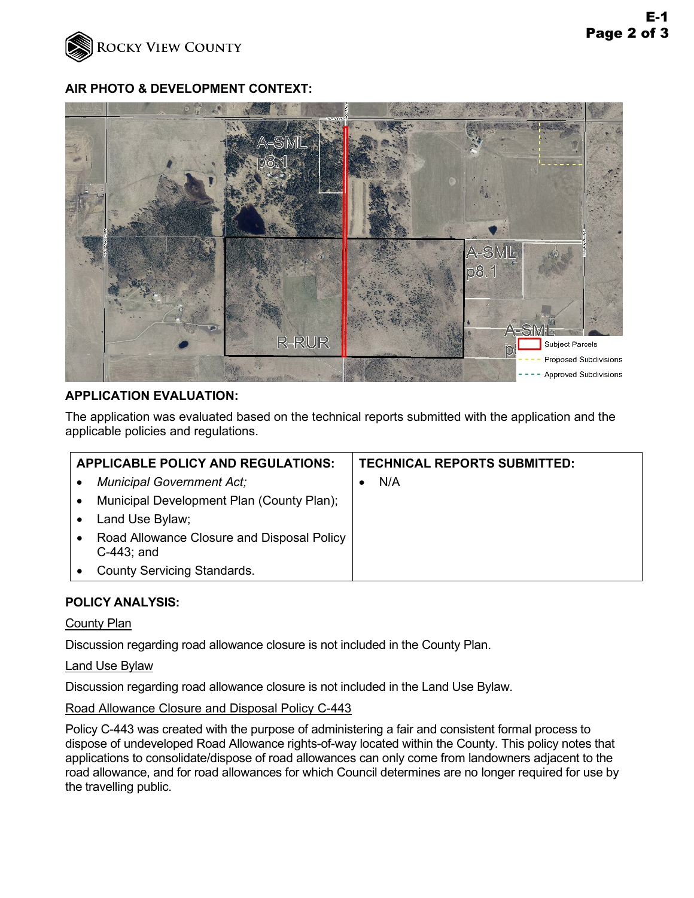

## **AIR PHOTO & DEVELOPMENT CONTEXT:**



## **APPLICATION EVALUATION:**

The application was evaluated based on the technical reports submitted with the application and the applicable policies and regulations.

| <b>APPLICABLE POLICY AND REGULATIONS:</b>                                | <b>TECHNICAL REPORTS SUBMITTED:</b> |
|--------------------------------------------------------------------------|-------------------------------------|
| <b>Municipal Government Act;</b>                                         | N/A                                 |
| Municipal Development Plan (County Plan);<br>$\bullet$                   |                                     |
| Land Use Bylaw;<br>٠                                                     |                                     |
| Road Allowance Closure and Disposal Policy<br>$\bullet$<br>$C-443$ ; and |                                     |
| <b>County Servicing Standards.</b>                                       |                                     |

## **POLICY ANALYSIS:**

#### County Plan

Discussion regarding road allowance closure is not included in the County Plan.

#### Land Use Bylaw

Discussion regarding road allowance closure is not included in the Land Use Bylaw.

## Road Allowance Closure and Disposal Policy C-443

Policy C-443 was created with the purpose of administering a fair and consistent formal process to dispose of undeveloped Road Allowance rights-of-way located within the County. This policy notes that applications to consolidate/dispose of road allowances can only come from landowners adjacent to the road allowance, and for road allowances for which Council determines are no longer required for use by the travelling public.